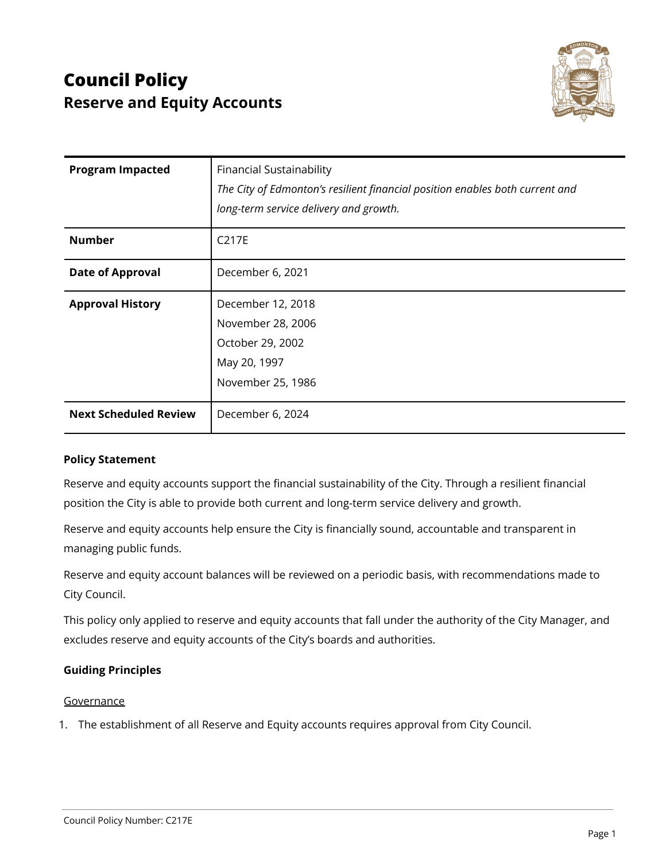

| <b>Program Impacted</b>      | <b>Financial Sustainability</b><br>The City of Edmonton's resilient financial position enables both current and<br>long-term service delivery and growth. |
|------------------------------|-----------------------------------------------------------------------------------------------------------------------------------------------------------|
| <b>Number</b>                | C217E                                                                                                                                                     |
| <b>Date of Approval</b>      | December 6, 2021                                                                                                                                          |
| <b>Approval History</b>      | December 12, 2018<br>November 28, 2006<br>October 29, 2002<br>May 20, 1997<br>November 25, 1986                                                           |
| <b>Next Scheduled Review</b> | December 6, 2024                                                                                                                                          |

# **Policy Statement**

Reserve and equity accounts support the financial sustainability of the City. Through a resilient financial position the City is able to provide both current and long-term service delivery and growth.

Reserve and equity accounts help ensure the City is financially sound, accountable and transparent in managing public funds.

Reserve and equity account balances will be reviewed on a periodic basis, with recommendations made to City Council.

This policy only applied to reserve and equity accounts that fall under the authority of the City Manager, and excludes reserve and equity accounts of the City's boards and authorities.

# **Guiding Principles**

# Governance

1. The establishment of all Reserve and Equity accounts requires approval from City Council.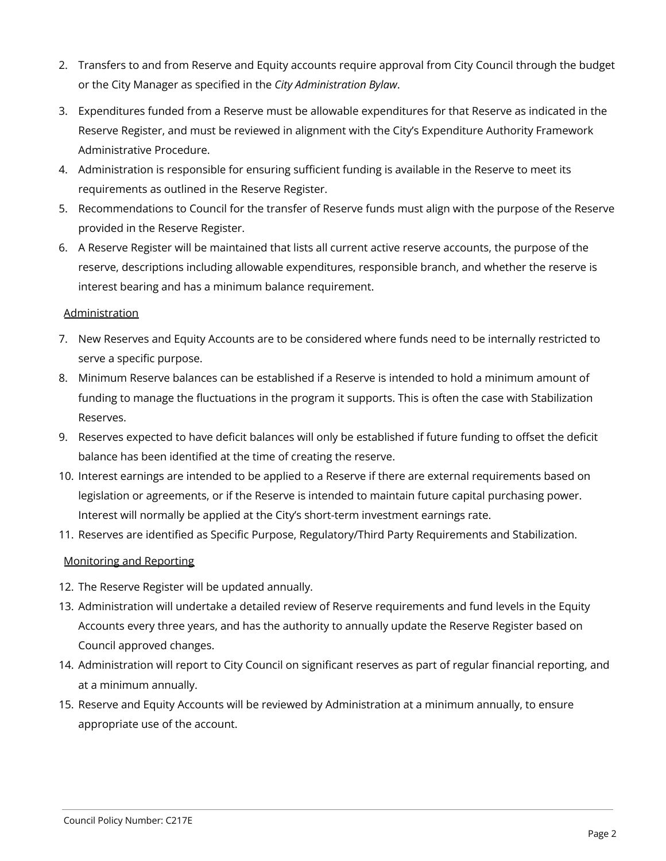- 2. Transfers to and from Reserve and Equity accounts require approval from City Council through the budget or the City Manager as specified in the *City Administration Bylaw*.
- 3. Expenditures funded from a Reserve must be allowable expenditures for that Reserve as indicated in the Reserve Register, and must be reviewed in alignment with the City's Expenditure Authority Framework Administrative Procedure.
- 4. Administration is responsible for ensuring sufficient funding is available in the Reserve to meet its requirements as outlined in the Reserve Register.
- 5. Recommendations to Council for the transfer of Reserve funds must align with the purpose of the Reserve provided in the Reserve Register.
- 6. A Reserve Register will be maintained that lists all current active reserve accounts, the purpose of the reserve, descriptions including allowable expenditures, responsible branch, and whether the reserve is interest bearing and has a minimum balance requirement.

### Administration

- 7. New Reserves and Equity Accounts are to be considered where funds need to be internally restricted to serve a specific purpose.
- 8. Minimum Reserve balances can be established if a Reserve is intended to hold a minimum amount of funding to manage the fluctuations in the program it supports. This is often the case with Stabilization Reserves.
- 9. Reserves expected to have deficit balances will only be established if future funding to offset the deficit balance has been identified at the time of creating the reserve.
- 10. Interest earnings are intended to be applied to a Reserve if there are external requirements based on legislation or agreements, or if the Reserve is intended to maintain future capital purchasing power. Interest will normally be applied at the City's short-term investment earnings rate.
- 11. Reserves are identified as Specific Purpose, Regulatory/Third Party Requirements and Stabilization.

# Monitoring and Reporting

- 12. The Reserve Register will be updated annually.
- 13. Administration will undertake a detailed review of Reserve requirements and fund levels in the Equity Accounts every three years, and has the authority to annually update the Reserve Register based on Council approved changes.
- 14. Administration will report to City Council on significant reserves as part of regular financial reporting, and at a minimum annually.
- 15. Reserve and Equity Accounts will be reviewed by Administration at a minimum annually, to ensure appropriate use of the account.